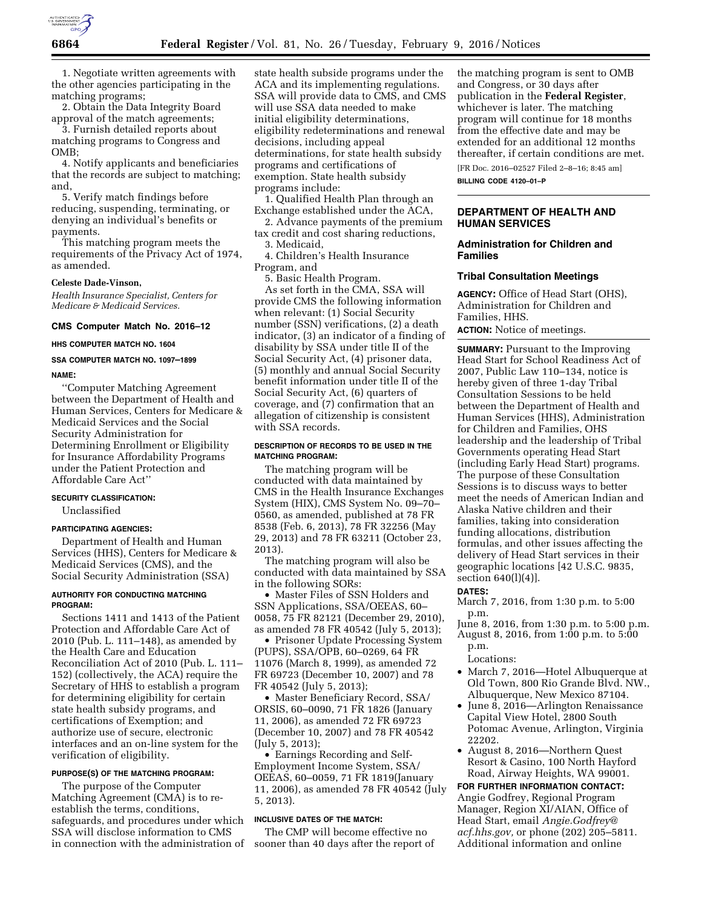

1. Negotiate written agreements with the other agencies participating in the matching programs;

2. Obtain the Data Integrity Board approval of the match agreements;

3. Furnish detailed reports about matching programs to Congress and OMB;

4. Notify applicants and beneficiaries that the records are subject to matching; and,

5. Verify match findings before reducing, suspending, terminating, or denying an individual's benefits or payments.

This matching program meets the requirements of the Privacy Act of 1974, as amended.

### **Celeste Dade-Vinson,**

*Health Insurance Specialist, Centers for Medicare & Medicaid Services.* 

#### **CMS Computer Match No. 2016–12**

**HHS COMPUTER MATCH NO. 1604**

# **SSA COMPUTER MATCH NO. 1097–1899**

#### **NAME:**

''Computer Matching Agreement between the Department of Health and Human Services, Centers for Medicare & Medicaid Services and the Social Security Administration for Determining Enrollment or Eligibility for Insurance Affordability Programs under the Patient Protection and Affordable Care Act''

#### **SECURITY CLASSIFICATION:**

Unclassified

#### **PARTICIPATING AGENCIES:**

Department of Health and Human Services (HHS), Centers for Medicare & Medicaid Services (CMS), and the Social Security Administration (SSA)

### **AUTHORITY FOR CONDUCTING MATCHING PROGRAM:**

Sections 1411 and 1413 of the Patient Protection and Affordable Care Act of 2010 (Pub. L. 111–148), as amended by the Health Care and Education Reconciliation Act of 2010 (Pub. L. 111– 152) (collectively, the ACA) require the Secretary of HHS to establish a program for determining eligibility for certain state health subsidy programs, and certifications of Exemption; and authorize use of secure, electronic interfaces and an on-line system for the verification of eligibility.

# **PURPOSE(S) OF THE MATCHING PROGRAM:**

The purpose of the Computer Matching Agreement (CMA) is to reestablish the terms, conditions, safeguards, and procedures under which SSA will disclose information to CMS in connection with the administration of state health subside programs under the ACA and its implementing regulations. SSA will provide data to CMS, and CMS will use SSA data needed to make initial eligibility determinations, eligibility redeterminations and renewal decisions, including appeal determinations, for state health subsidy programs and certifications of exemption. State health subsidy programs include:

1. Qualified Health Plan through an Exchange established under the ACA,

2. Advance payments of the premium tax credit and cost sharing reductions, 3. Medicaid,

4. Children's Health Insurance Program, and

5. Basic Health Program.

As set forth in the CMA, SSA will provide CMS the following information when relevant: (1) Social Security number (SSN) verifications, (2) a death indicator, (3) an indicator of a finding of disability by SSA under title II of the Social Security Act, (4) prisoner data, (5) monthly and annual Social Security benefit information under title II of the Social Security Act, (6) quarters of coverage, and (7) confirmation that an allegation of citizenship is consistent with SSA records.

### **DESCRIPTION OF RECORDS TO BE USED IN THE MATCHING PROGRAM:**

The matching program will be conducted with data maintained by CMS in the Health Insurance Exchanges System (HIX), CMS System No. 09–70– 0560, as amended, published at 78 FR 8538 (Feb. 6, 2013), 78 FR 32256 (May 29, 2013) and 78 FR 63211 (October 23, 2013).

The matching program will also be conducted with data maintained by SSA in the following SORs:

• Master Files of SSN Holders and SSN Applications, SSA/OEEAS, 60– 0058, 75 FR 82121 (December 29, 2010), as amended 78 FR 40542 (July 5, 2013);

• Prisoner Update Processing System (PUPS), SSA/OPB, 60–0269, 64 FR 11076 (March 8, 1999), as amended 72 FR 69723 (December 10, 2007) and 78 FR 40542 (July 5, 2013);

• Master Beneficiary Record, SSA/ ORSIS, 60–0090, 71 FR 1826 (January 11, 2006), as amended 72 FR 69723 (December 10, 2007) and 78 FR 40542 (July 5, 2013);

• Earnings Recording and Self-Employment Income System, SSA/ OEEAS, 60–0059, 71 FR 1819(January 11, 2006), as amended 78 FR 40542 (July 5, 2013).

#### **INCLUSIVE DATES OF THE MATCH:**

The CMP will become effective no sooner than 40 days after the report of the matching program is sent to OMB and Congress, or 30 days after publication in the **Federal Register**, whichever is later. The matching program will continue for 18 months from the effective date and may be extended for an additional 12 months thereafter, if certain conditions are met. [FR Doc. 2016–02527 Filed 2–8–16; 8:45 am]

**BILLING CODE 4120–01–P** 

# **DEPARTMENT OF HEALTH AND HUMAN SERVICES**

### **Administration for Children and Families**

#### **Tribal Consultation Meetings**

**AGENCY:** Office of Head Start (OHS), Administration for Children and Families, HHS. **ACTION:** Notice of meetings.

**SUMMARY:** Pursuant to the Improving Head Start for School Readiness Act of

2007, Public Law 110–134, notice is hereby given of three 1-day Tribal Consultation Sessions to be held between the Department of Health and Human Services (HHS), Administration for Children and Families, OHS leadership and the leadership of Tribal Governments operating Head Start (including Early Head Start) programs. The purpose of these Consultation Sessions is to discuss ways to better meet the needs of American Indian and Alaska Native children and their families, taking into consideration funding allocations, distribution formulas, and other issues affecting the delivery of Head Start services in their geographic locations [42 U.S.C. 9835, section 640(l)(4)].

### **DATES:**

March 7, 2016, from 1:30 p.m. to 5:00 p.m.

- June 8, 2016, from 1:30 p.m. to 5:00 p.m. August 8, 2016, from 1:00 p.m. to 5:00 p.m.
	- Locations:
- March 7, 2016—Hotel Albuquerque at Old Town, 800 Rio Grande Blvd. NW., Albuquerque, New Mexico 87104.
- June 8, 2016—Arlington Renaissance Capital View Hotel, 2800 South Potomac Avenue, Arlington, Virginia 22202.
- August 8, 2016—Northern Quest Resort & Casino, 100 North Hayford Road, Airway Heights, WA 99001.

**FOR FURTHER INFORMATION CONTACT:**  Angie Godfrey, Regional Program Manager, Region XI/AIAN, Office of Head Start, email *[Angie.Godfrey@](mailto:Angie.Godfrey@acf.hhs.gov) [acf.hhs.gov,](mailto:Angie.Godfrey@acf.hhs.gov)* or phone (202) 205–5811. Additional information and online